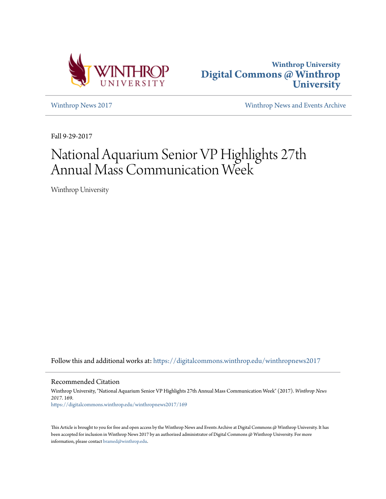



[Winthrop News 2017](https://digitalcommons.winthrop.edu/winthropnews2017?utm_source=digitalcommons.winthrop.edu%2Fwinthropnews2017%2F169&utm_medium=PDF&utm_campaign=PDFCoverPages) [Winthrop News and Events Archive](https://digitalcommons.winthrop.edu/winthropnewsarchives?utm_source=digitalcommons.winthrop.edu%2Fwinthropnews2017%2F169&utm_medium=PDF&utm_campaign=PDFCoverPages)

Fall 9-29-2017

## National Aquarium Senior VP Highlights 27th Annual Mass Communication Week

Winthrop University

Follow this and additional works at: [https://digitalcommons.winthrop.edu/winthropnews2017](https://digitalcommons.winthrop.edu/winthropnews2017?utm_source=digitalcommons.winthrop.edu%2Fwinthropnews2017%2F169&utm_medium=PDF&utm_campaign=PDFCoverPages)

Recommended Citation

Winthrop University, "National Aquarium Senior VP Highlights 27th Annual Mass Communication Week" (2017). *Winthrop News 2017*. 169. [https://digitalcommons.winthrop.edu/winthropnews2017/169](https://digitalcommons.winthrop.edu/winthropnews2017/169?utm_source=digitalcommons.winthrop.edu%2Fwinthropnews2017%2F169&utm_medium=PDF&utm_campaign=PDFCoverPages)

This Article is brought to you for free and open access by the Winthrop News and Events Archive at Digital Commons @ Winthrop University. It has been accepted for inclusion in Winthrop News 2017 by an authorized administrator of Digital Commons @ Winthrop University. For more information, please contact [bramed@winthrop.edu](mailto:bramed@winthrop.edu).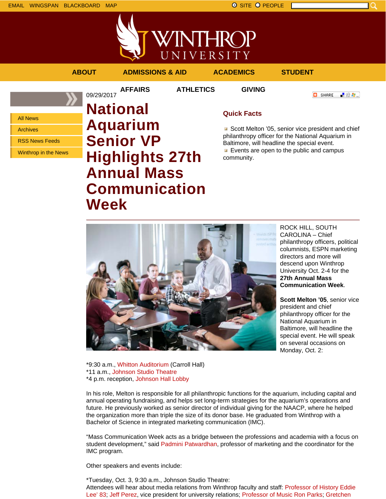EMAIL WINGSPAN BLACKBOARD MAP SITE PEOPLE SALL BE SITE PEOPLE

**/INTHROP** UNIVERSITY **ABOUT ADMISSIONS & AID ACADEMICS STUDENT**

09/29/2017

**AFFAIRS ATHLETICS GIVING**

**O** SHARE 上帝身上

All News

Archives

RSS News Feeds

Winthrop in the News

**National Aquarium Senior VP Highlights 27th Annual Mass Communication Week**

## **Quick Facts**

Scott Melton '05, senior vice president and chief philanthropy officer for the National Aquarium in Baltimore, will headline the special event. Events are open to the public and campus community.



ROCK HILL, SOUTH CAROLINA – Chief philanthropy officers, political columnists, ESPN marketing directors and more will descend upon Winthrop University Oct. 2-4 for the **27th Annual Mass Communication Week**.

**Scott Melton '05**, senior vice president and chief philanthropy officer for the National Aquarium in Baltimore, will headline the special event. He will speak on several occasions on Monday, Oct. 2:

\*9:30 a.m., Whitton Auditorium (Carroll Hall) \*11 a.m., Johnson Studio Theatre \*4 p.m. reception, Johnson Hall Lobby

In his role, Melton is responsible for all philanthropic functions for the aquarium, including capital and annual operating fundraising, and helps set long-term strategies for the aquarium's operations and future. He previously worked as senior director of individual giving for the NAACP, where he helped the organization more than triple the size of its donor base. He graduated from Winthrop with a Bachelor of Science in integrated marketing communication (IMC).

"Mass Communication Week acts as a bridge between the professions and academia with a focus on student development," said Padmini Patwardhan, professor of marketing and the coordinator for the IMC program.

Other speakers and events include:

\*Tuesday, Oct. 3, 9:30 a.m., Johnson Studio Theatre: Attendees will hear about media relations from Winthrop faculty and staff: Professor of History Eddie Lee' 83; Jeff Perez, vice president for university relations; Professor of Music Ron Parks; Gretchen